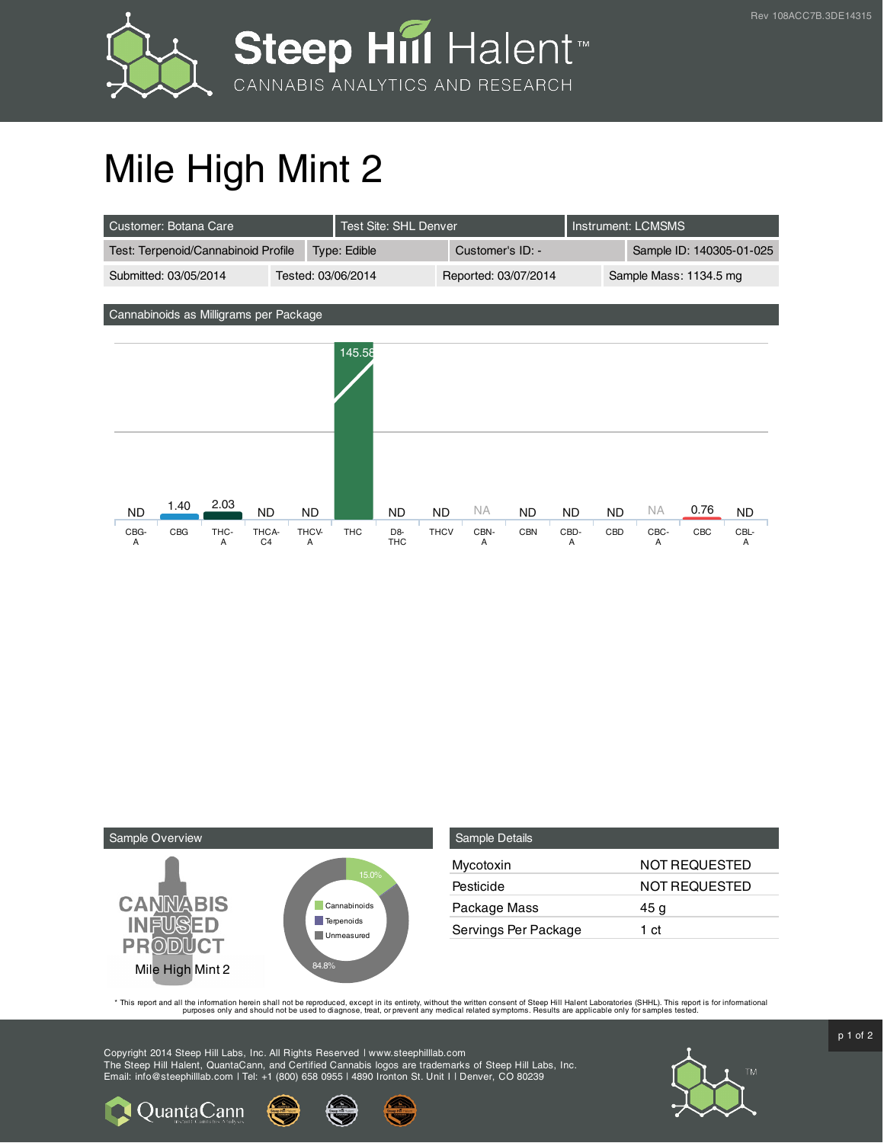



## Mile High Mint 2

| Customer: Botana Care                                                                              |                         |            | Test Site: SHL Denver               |                          |                      |                         |                        | Instrument: LCMSMS       |                        |             |                        |  |
|----------------------------------------------------------------------------------------------------|-------------------------|------------|-------------------------------------|--------------------------|----------------------|-------------------------|------------------------|--------------------------|------------------------|-------------|------------------------|--|
| Test: Terpenoid/Cannabinoid Profile                                                                |                         |            | Type: Edible                        |                          | Customer's ID: -     |                         |                        | Sample ID: 140305-01-025 |                        |             |                        |  |
| Submitted: 03/05/2014                                                                              | Tested: 03/06/2014      |            |                                     |                          | Reported: 03/07/2014 |                         |                        |                          | Sample Mass: 1134.5 mg |             |                        |  |
| Cannabinoids as Milligrams per Package                                                             |                         |            |                                     |                          |                      |                         |                        |                          |                        |             |                        |  |
|                                                                                                    |                         | 145.58     |                                     |                          |                      |                         |                        |                          |                        |             |                        |  |
| 2.03<br>1.40<br><b>ND</b><br><b>ND</b><br>CBG<br>CBG-<br>THC-<br>THCA-<br>A<br>C <sub>4</sub><br>A | <b>ND</b><br>THCV-<br>A | <b>THC</b> | ND.<br>D <sub>8</sub><br><b>THC</b> | <b>ND</b><br><b>THCV</b> | NA.<br>CBN-<br>Α     | <b>ND</b><br><b>CBN</b> | <b>ND</b><br>CBD-<br>A | <b>ND</b><br>CBD         | <b>NA</b><br>CBC-<br>A | 0.76<br>CBC | <b>ND</b><br>CBL-<br>Α |  |



| Sample Details       |               |
|----------------------|---------------|
| Mycotoxin            | NOT REQUESTED |
| Pesticide            | NOT REQUESTED |
| Package Mass         | 45 g          |
| Servings Per Package | 1 ct          |

This report and all the information herein shall not be reporduced, except in its entirety, without the written consent of Steep Hill Halent Laboratories (SHHL). This report is for informational all the instance, treat, or

Copyright 2014 Steep Hill Labs, Inc. All Rights Reserved | www.steephilllab.com The Steep Hill Halent, QuantaCann, and Certified Cannabis logos are trademarks of Steep Hill Labs, Inc. Email: info@steephilllab.com | Tel: +1 (800) 658 0955 | 4890 Ironton St. Unit I | Denver, CO 80239



**Q**uantaCann